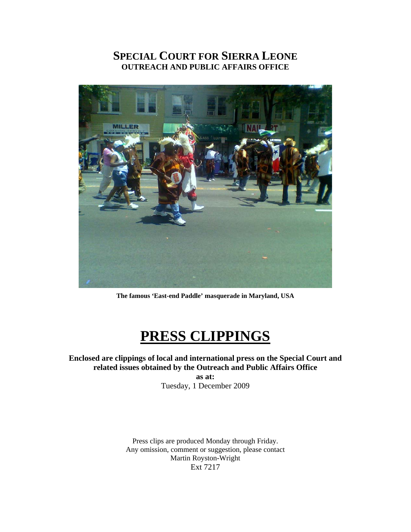# **SPECIAL COURT FOR SIERRA LEONE OUTREACH AND PUBLIC AFFAIRS OFFICE**



**The famous 'East-end Paddle' masquerade in Maryland, USA** 

# **PRESS CLIPPINGS**

# **Enclosed are clippings of local and international press on the Special Court and related issues obtained by the Outreach and Public Affairs Office**

**as at:**  Tuesday, 1 December 2009

Press clips are produced Monday through Friday. Any omission, comment or suggestion, please contact Martin Royston-Wright Ext 7217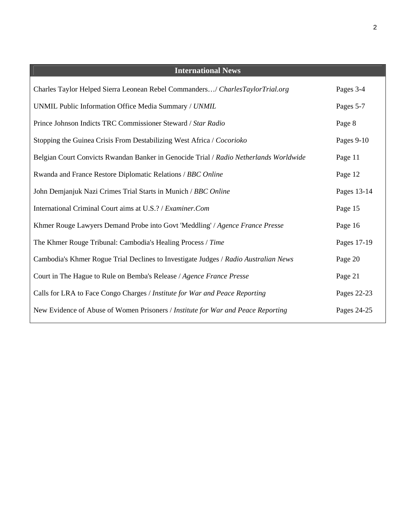| <b>International News</b>                                                             |             |
|---------------------------------------------------------------------------------------|-------------|
| Charles Taylor Helped Sierra Leonean Rebel Commanders/ CharlesTaylorTrial.org         | Pages 3-4   |
| UNMIL Public Information Office Media Summary / UNMIL                                 | Pages 5-7   |
| Prince Johnson Indicts TRC Commissioner Steward / Star Radio                          | Page 8      |
| Stopping the Guinea Crisis From Destabilizing West Africa / Cocorioko                 | Pages 9-10  |
| Belgian Court Convicts Rwandan Banker in Genocide Trial / Radio Netherlands Worldwide | Page 11     |
| Rwanda and France Restore Diplomatic Relations / BBC Online                           | Page 12     |
| John Demjanjuk Nazi Crimes Trial Starts in Munich / BBC Online                        | Pages 13-14 |
| International Criminal Court aims at U.S.? / Examiner.Com                             | Page 15     |
| Khmer Rouge Lawyers Demand Probe into Govt 'Meddling' / Agence France Presse          | Page 16     |
| The Khmer Rouge Tribunal: Cambodia's Healing Process / Time                           | Pages 17-19 |
| Cambodia's Khmer Rogue Trial Declines to Investigate Judges / Radio Australian News   | Page 20     |
| Court in The Hague to Rule on Bemba's Release / Agence France Presse                  | Page 21     |
| Calls for LRA to Face Congo Charges / Institute for War and Peace Reporting           | Pages 22-23 |
| New Evidence of Abuse of Women Prisoners / Institute for War and Peace Reporting      | Pages 24-25 |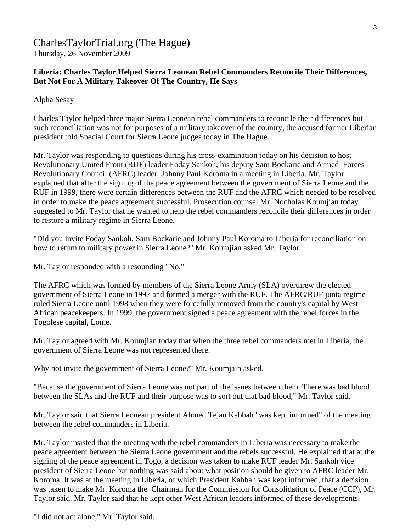# CharlesTaylorTrial.org (The Hague) Thursday, 26 November 2009

# **Liberia: Charles Taylor Helped Sierra Leonean Rebel Commanders Reconcile Their Differences, But Not For A Military Takeover Of The Country, He Says**

Alpha Sesay

Charles Taylor helped three major Sierra Leonean rebel commanders to reconcile their differences but such reconciliation was not for purposes of a military takeover of the country, the accused former Liberian president told Special Court for Sierra Leone judges today in The Hague.

Mr. Taylor was responding to questions during his cross-examination today on his decision to host Revolutionary United Front (RUF) leader Foday Sankoh, his deputy Sam Bockarie and Armed Forces Revolutionary Council (AFRC) leader Johnny Paul Koroma in a meeting in Liberia. Mr. Taylor explained that after the signing of the peace agreement between the government of Sierra Leone and the RUF in 1999, there were certain differences between the RUF and the AFRC which needed to be resolved in order to make the peace agreement successful. Prosecution counsel Mr. Nocholas Koumjian today suggested to Mr. Taylor that he wanted to help the rebel commanders reconcile their differences in order to restore a military regime in Sierra Leone.

"Did you invite Foday Sankoh, Sam Bockarie and Johnny Paul Koroma to Liberia for reconciliation on how to return to military power in Sierra Leone?" Mr. Koumjian asked Mr. Taylor.

Mr. Taylor responded with a resounding "No."

The AFRC which was formed by members of the Sierra Leone Army (SLA) overthrew the elected government of Sierra Leone in 1997 and formed a merger with the RUF. The AFRC/RUF junta regime ruled Sierra Leone until 1998 when they were forcefully removed from the country's capital by West African peacekeepers. In 1999, the government signed a peace agreement with the rebel forces in the Togolese capital, Lome.

Mr. Taylor agreed with Mr. Koumjian today that when the three rebel commanders met in Liberia, the government of Sierra Leone was not represented there.

Why not invite the government of Sierra Leone?" Mr. Koumjain asked.

"Because the government of Sierra Leone was not part of the issues between them. There was bad blood between the SLAs and the RUF and their purpose was to sort out that bad blood," Mr. Taylor said.

Mr. Taylor said that Sierra Leonean president Ahmed Tejan Kabbah "was kept informed" of the meeting between the rebel commanders in Liberia.

Mr. Taylor insisted that the meeting with the rebel commanders in Liberia was necessary to make the peace agreement between the Sierra Leone government and the rebels successful. He explained that at the signing of the peace agreement in Togo, a decision was taken to make RUF leader Mr. Sankoh vice president of Sierra Leone but nothing was said about what position should be given to AFRC leader Mr. Koroma. It was at the meeting in Liberia, of which President Kabbah was kept informed, that a decision was taken to make Mr. Koroma the Chairman for the Commission for Consolidation of Peace (CCP), Mr. Taylor said. Mr. Taylor said that he kept other West African leaders informed of these developments.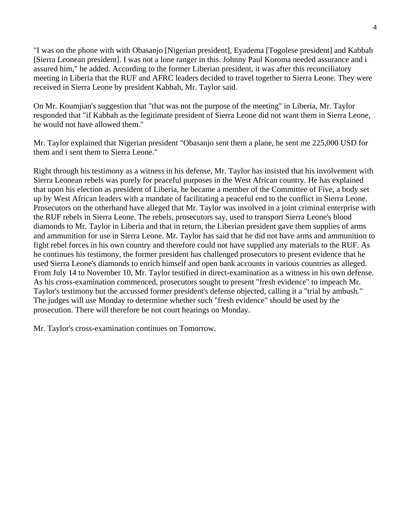"I was on the phone with with Obasanjo [Nigerian president], Eyadema [Togolese president] and Kabbah [Sierra Leonean president]. I was not a lone ranger in this. Johnny Paul Koroma needed assurance and i assured him," he added. According to the former Liberian president, it was after this reconciliatory meeting in Liberia that the RUF and AFRC leaders decided to travel together to Sierra Leone. They were received in Sierra Leone by president Kabbah, Mr. Taylor said.

On Mr. Koumjian's suggestion that "that was not the purpose of the meeting" in Liberia, Mr. Taylor responded that "if Kabbah as the legitimate president of Sierra Leone did not want them in Sierra Leone, he would not have allowed them."

Mr. Taylor explained that Nigerian president "Obasanjo sent them a plane, he sent me 225,000 USD for them and i sent them to Sierra Leone."

Right through his testimony as a witness in his defense, Mr. Taylor has insisted that his involvement with Sierra Leonean rebels was purely for peaceful purposes in the West African country. He has explained that upon his election as president of Liberia, he became a member of the Committee of Five, a body set up by West African leaders with a mandate of facilitating a peaceful end to the conflict in Sierra Leone. Prosecutors on the otherhand have alleged that Mr. Taylor was involved in a joint criminal enterprise with the RUF rebels in Sierra Leone. The rebels, prosecutors say, used to transport Sierra Leone's blood diamonds to Mr. Taylor in Liberia and that in return, the Liberian president gave them supplies of arms and ammunition for use in Sierra Leone. Mr. Taylor has said that he did not have arms and ammunition to fight rebel forces in his own country and therefore could not have supplied any materials to the RUF. As he continues his testimony, the former president has challenged prosecutors to present evidence that he used Sierra Leone's diamonds to enrich himself and open bank accounts in various countries as alleged. From July 14 to November 10, Mr. Taylor testified in direct-examination as a witness in his own defense. As his cross-examination commenced, prosecutors sought to present "fresh evidence" to impeach Mr. Taylor's testimony but the accussed former president's defense objected, calling it a "trial by ambush." The judges will use Monday to determine whether such "fresh evidence" should be used by the prosecution. There will therefore be not court hearings on Monday.

Mr. Taylor's cross-examination continues on Tomorrow.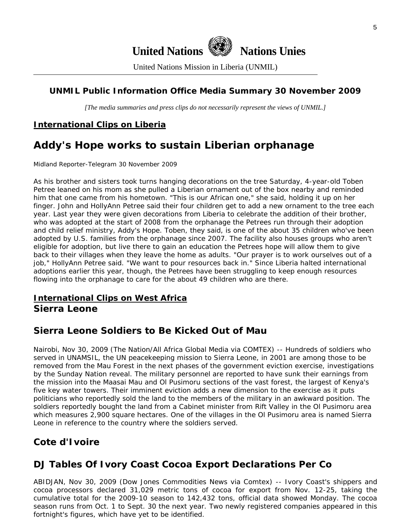

United Nations Mission in Liberia (UNMIL)

# **UNMIL Public Information Office Media Summary 30 November 2009**

*[The media summaries and press clips do not necessarily represent the views of UNMIL.]* 

# **International Clips on Liberia**

# **Addy's Hope works to sustain Liberian orphanage**

Midland Reporter-Telegram 30 November 2009

As his brother and sisters took turns hanging decorations on the tree Saturday, 4-year-old Toben Petree leaned on his mom as she pulled a Liberian ornament out of the box nearby and reminded him that one came from his hometown. "This is our African one," she said, holding it up on her finger. John and HollyAnn Petree said their four children get to add a new ornament to the tree each year. Last year they were given decorations from Liberia to celebrate the addition of their brother, who was adopted at the start of 2008 from the orphanage the Petrees run through their adoption and child relief ministry, Addy's Hope. Toben, they said, is one of the about 35 children who've been adopted by U.S. families from the orphanage since 2007. The facility also houses groups who aren't eligible for adoption, but live there to gain an education the Petrees hope will allow them to give back to their villages when they leave the home as adults. "Our prayer is to work ourselves out of a job," HollyAnn Petree said. "We want to pour resources back in." Since Liberia halted international adoptions earlier this year, though, the Petrees have been struggling to keep enough resources flowing into the orphanage to care for the about 49 children who are there.

# **International Clips on West Africa Sierra Leone**

# **Sierra Leone Soldiers to Be Kicked Out of Mau**

Nairobi, Nov 30, 2009 (The Nation/All Africa Global Media via COMTEX) -- Hundreds of soldiers who served in UNAMSIL, the UN peacekeeping mission to Sierra Leone, in 2001 are among those to be removed from the Mau Forest in the next phases of the government eviction exercise, investigations by the Sunday Nation reveal. The military personnel are reported to have sunk their earnings from the mission into the Maasai Mau and Ol Pusimoru sections of the vast forest, the largest of Kenya's five key water towers. Their imminent eviction adds a new dimension to the exercise as it puts politicians who reportedly sold the land to the members of the military in an awkward position. The soldiers reportedly bought the land from a Cabinet minister from Rift Valley in the Ol Pusimoru area which measures 2,900 square hectares. One of the villages in the Ol Pusimoru area is named Sierra Leone in reference to the country where the soldiers served.

# **Cote d'Ivoire**

# **DJ Tables Of Ivory Coast Cocoa Export Declarations Per Co**

ABIDJAN, Nov 30, 2009 (Dow Jones Commodities News via Comtex) -- Ivory Coast's shippers and cocoa processors declared 31,029 metric tons of cocoa for export from Nov. 12-25, taking the cumulative total for the 2009-10 season to 142,432 tons, official data showed Monday. The cocoa season runs from Oct. 1 to Sept. 30 the next year. Two newly registered companies appeared in this fortnight's figures, which have yet to be identified.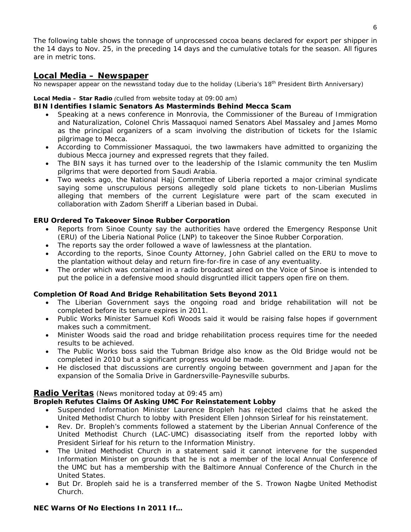The following table shows the tonnage of unprocessed cocoa beans declared for export per shipper in the 14 days to Nov. 25, in the preceding 14 days and the cumulative totals for the season. All figures are in metric tons.

### **Local Media – Newspaper**

*No newspaper appear on the newsstand today due to the holiday (Liberia's 18th President Birth Anniversary)* 

#### **Local Media – Star Radio** *(culled from website today at 09:00 am)*

#### **BIN Identifies Islamic Senators As Masterminds Behind Mecca Scam**

- Speaking at a news conference in Monrovia, the Commissioner of the Bureau of Immigration and Naturalization, Colonel Chris Massaquoi named Senators Abel Massaley and James Momo as the principal organizers of a scam involving the distribution of tickets for the Islamic pilgrimage to Mecca.
- According to Commissioner Massaquoi, the two lawmakers have admitted to organizing the dubious Mecca journey and expressed regrets that they failed.
- The BIN says it has turned over to the leadership of the Islamic community the ten Muslim pilgrims that were deported from Saudi Arabia.
- Two weeks ago, the National Hajj Committee of Liberia reported a major criminal syndicate saying some unscrupulous persons allegedly sold plane tickets to non-Liberian Muslims alleging that members of the current Legislature were part of the scam executed in collaboration with Zadom Sheriff a Liberian based in Dubai.

### **ERU Ordered To Takeover Sinoe Rubber Corporation**

- Reports from Sinoe County say the authorities have ordered the Emergency Response Unit (ERU) of the Liberia National Police (LNP) to takeover the Sinoe Rubber Corporation.
- The reports say the order followed a wave of lawlessness at the plantation.
- According to the reports, Sinoe County Attorney, John Gabriel called on the ERU to move to the plantation without delay and return fire-for-fire in case of any eventuality.
- The order which was contained in a radio broadcast aired on the Voice of Sinoe is intended to put the police in a defensive mood should disgruntled illicit tappers open fire on them.

### **Completion Of Road And Bridge Rehabilitation Sets Beyond 2011**

- The Liberian Government says the ongoing road and bridge rehabilitation will not be completed before its tenure expires in 2011.
- Public Works Minister Samuel Kofi Woods said it would be raising false hopes if government makes such a commitment.
- Minister Woods said the road and bridge rehabilitation process requires time for the needed results to be achieved.
- The Public Works boss said the Tubman Bridge also know as the Old Bridge would not be completed in 2010 but a significant progress would be made.
- He disclosed that discussions are currently ongoing between government and Japan for the expansion of the Somalia Drive in Gardnersville-Paynesville suburbs.

### **Radio Veritas** *(News monitored today at 09:45 am)*

### **Bropleh Refutes Claims Of Asking UMC For Reinstatement Lobby**

- Suspended Information Minister Laurence Bropleh has rejected claims that he asked the United Methodist Church to lobby with President Ellen Johnson Sirleaf for his reinstatement.
- Rev. Dr. Bropleh's comments followed a statement by the Liberian Annual Conference of the United Methodist Church (LAC-UMC) disassociating itself from the reported lobby with President Sirleaf for his return to the Information Ministry.
- The United Methodist Church in a statement said it cannot intervene for the suspended Information Minister on grounds that he is not a member of the local Annual Conference of the UMC but has a membership with the Baltimore Annual Conference of the Church in the United States.
- But Dr. Bropleh said he is a transferred member of the S. Trowon Nagbe United Methodist Church.

### **NEC Warns Of No Elections In 2011 If…**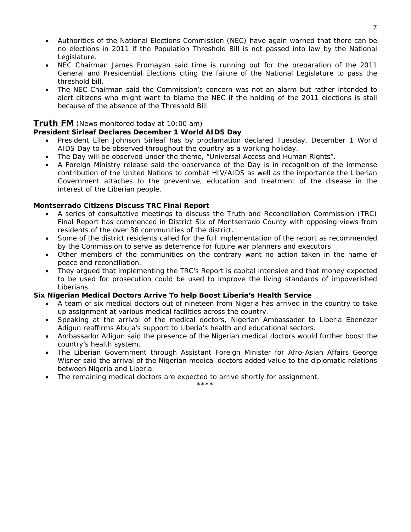- Authorities of the National Elections Commission (NEC) have again warned that there can be no elections in 2011 if the Population Threshold Bill is not passed into law by the National Legislature.
- NEC Chairman James Fromayan said time is running out for the preparation of the 2011 General and Presidential Elections citing the failure of the National Legislature to pass the threshold bill.
- The NEC Chairman said the Commission's concern was not an alarm but rather intended to alert citizens who might want to blame the NEC if the holding of the 2011 elections is stall because of the absence of the Threshold Bill.

### **Truth FM** *(News monitored today at 10:00 am)*

### **President Sirleaf Declares December 1 World AIDS Day**

- President Ellen Johnson Sirleaf has by proclamation declared Tuesday, December 1 World AIDS Day to be observed throughout the country as a working holiday.
- The Day will be observed under the theme, "Universal Access and Human Rights".
- A Foreign Ministry release said the observance of the Day is in recognition of the immense contribution of the United Nations to combat HIV/AIDS as well as the importance the Liberian Government attaches to the preventive, education and treatment of the disease in the interest of the Liberian people.

### **Montserrado Citizens Discuss TRC Final Report**

- A series of consultative meetings to discuss the Truth and Reconciliation Commission (TRC) Final Report has commenced in District Six of Montserrado County with opposing views from residents of the over 36 communities of the district.
- Some of the district residents called for the full implementation of the report as recommended by the Commission to serve as deterrence for future war planners and executors.
- Other members of the communities on the contrary want no action taken in the name of peace and reconciliation.
- They argued that implementing the TRC's Report is capital intensive and that money expected to be used for prosecution could be used to improve the living standards of impoverished Liberians.

### **Six Nigerian Medical Doctors Arrive To help Boost Liberia's Health Service**

- A team of six medical doctors out of nineteen from Nigeria has arrived in the country to take up assignment at various medical facilities across the country.
- Speaking at the arrival of the medical doctors, Nigerian Ambassador to Liberia Ebenezer Adigun reaffirms Abuja's support to Liberia's health and educational sectors.
- Ambassador Adigun said the presence of the Nigerian medical doctors would further boost the country's health system.
- The Liberian Government through Assistant Foreign Minister for Afro-Asian Affairs George Wisner said the arrival of the Nigerian medical doctors added value to the diplomatic relations between Nigeria and Liberia.
- The remaining medical doctors are expected to arrive shortly for assignment.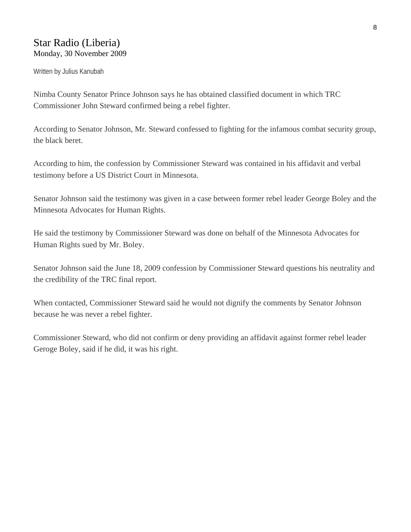# Star Radio (Liberia) Monday, 30 November 2009

Written by Julius Kanubah

Nimba County Senator Prince Johnson says he has obtained classified document in which TRC Commissioner John Steward confirmed being a rebel fighter.

According to Senator Johnson, Mr. Steward confessed to fighting for the infamous combat security group, the black beret.

According to him, the confession by Commissioner Steward was contained in his affidavit and verbal testimony before a US District Court in Minnesota.

Senator Johnson said the testimony was given in a case between former rebel leader George Boley and the Minnesota Advocates for Human Rights.

He said the testimony by Commissioner Steward was done on behalf of the Minnesota Advocates for Human Rights sued by Mr. Boley.

Senator Johnson said the June 18, 2009 confession by Commissioner Steward questions his neutrality and the credibility of the TRC final report.

When contacted, Commissioner Steward said he would not dignify the comments by Senator Johnson because he was never a rebel fighter.

Commissioner Steward, who did not confirm or deny providing an affidavit against former rebel leader Geroge Boley, said if he did, it was his right.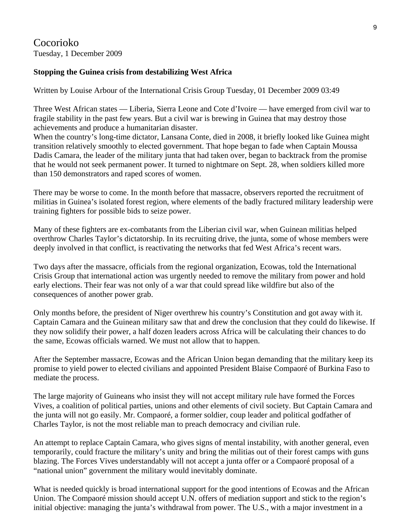# Cocorioko Tuesday, 1 December 2009

# **Stopping the Guinea crisis from destabilizing West Africa**

Written by Louise Arbour of the International Crisis Group Tuesday, 01 December 2009 03:49

Three West African states — Liberia, Sierra Leone and Cote d'Ivoire — have emerged from civil war to fragile stability in the past few years. But a civil war is brewing in Guinea that may destroy those achievements and produce a humanitarian disaster.

When the country's long-time dictator, Lansana Conte, died in 2008, it briefly looked like Guinea might transition relatively smoothly to elected government. That hope began to fade when Captain Moussa Dadis Camara, the leader of the military junta that had taken over, began to backtrack from the promise that he would not seek permanent power. It turned to nightmare on Sept. 28, when soldiers killed more than 150 demonstrators and raped scores of women.

There may be worse to come. In the month before that massacre, observers reported the recruitment of militias in Guinea's isolated forest region, where elements of the badly fractured military leadership were training fighters for possible bids to seize power.

Many of these fighters are ex-combatants from the Liberian civil war, when Guinean militias helped overthrow Charles Taylor's dictatorship. In its recruiting drive, the junta, some of whose members were deeply involved in that conflict, is reactivating the networks that fed West Africa's recent wars.

Two days after the massacre, officials from the regional organization, Ecowas, told the International Crisis Group that international action was urgently needed to remove the military from power and hold early elections. Their fear was not only of a war that could spread like wildfire but also of the consequences of another power grab.

Only months before, the president of Niger overthrew his country's Constitution and got away with it. Captain Camara and the Guinean military saw that and drew the conclusion that they could do likewise. If they now solidify their power, a half dozen leaders across Africa will be calculating their chances to do the same, Ecowas officials warned. We must not allow that to happen.

After the September massacre, Ecowas and the African Union began demanding that the military keep its promise to yield power to elected civilians and appointed President Blaise Compaoré of Burkina Faso to mediate the process.

The large majority of Guineans who insist they will not accept military rule have formed the Forces Vives, a coalition of political parties, unions and other elements of civil society. But Captain Camara and the junta will not go easily. Mr. Compaoré, a former soldier, coup leader and political godfather of Charles Taylor, is not the most reliable man to preach democracy and civilian rule.

An attempt to replace Captain Camara, who gives signs of mental instability, with another general, even temporarily, could fracture the military's unity and bring the militias out of their forest camps with guns blazing. The Forces Vives understandably will not accept a junta offer or a Compaoré proposal of a "national union" government the military would inevitably dominate.

What is needed quickly is broad international support for the good intentions of Ecowas and the African Union. The Compaoré mission should accept U.N. offers of mediation support and stick to the region's initial objective: managing the junta's withdrawal from power. The U.S., with a major investment in a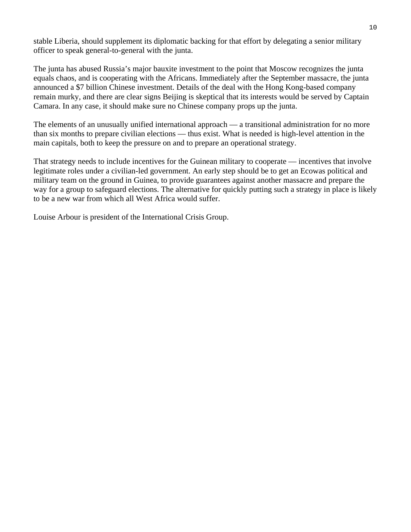stable Liberia, should supplement its diplomatic backing for that effort by delegating a senior military officer to speak general-to-general with the junta.

The junta has abused Russia's major bauxite investment to the point that Moscow recognizes the junta equals chaos, and is cooperating with the Africans. Immediately after the September massacre, the junta announced a \$7 billion Chinese investment. Details of the deal with the Hong Kong-based company remain murky, and there are clear signs Beijing is skeptical that its interests would be served by Captain Camara. In any case, it should make sure no Chinese company props up the junta.

The elements of an unusually unified international approach — a transitional administration for no more than six months to prepare civilian elections — thus exist. What is needed is high-level attention in the main capitals, both to keep the pressure on and to prepare an operational strategy.

That strategy needs to include incentives for the Guinean military to cooperate — incentives that involve legitimate roles under a civilian-led government. An early step should be to get an Ecowas political and military team on the ground in Guinea, to provide guarantees against another massacre and prepare the way for a group to safeguard elections. The alternative for quickly putting such a strategy in place is likely to be a new war from which all West Africa would suffer.

Louise Arbour is president of the International Crisis Group.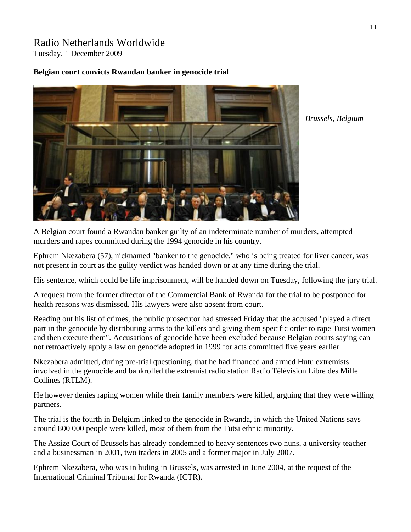# Radio Netherlands Worldwide Tuesday, 1 December 2009

### **Belgian court convicts Rwandan banker in genocide trial**



*Brussels, Belgium* 

A Belgian court found a Rwandan banker guilty of an indeterminate number of murders, attempted murders and rapes committed during the 1994 genocide in his country.

Ephrem Nkezabera (57), nicknamed "banker to the genocide," who is being treated for liver cancer, was not present in court as the guilty verdict was handed down or at any time during the trial.

His sentence, which could be life imprisonment, will be handed down on Tuesday, following the jury trial.

A request from the former director of the Commercial Bank of Rwanda for the trial to be postponed for health reasons was dismissed. His lawyers were also absent from court.

Reading out his list of crimes, the public prosecutor had stressed Friday that the accused "played a direct part in the genocide by distributing arms to the killers and giving them specific order to rape Tutsi women and then execute them". Accusations of genocide have been excluded because Belgian courts saying can not retroactively apply a law on genocide adopted in 1999 for acts committed five years earlier.

Nkezabera admitted, during pre-trial questioning, that he had financed and armed Hutu extremists involved in the genocide and bankrolled the extremist radio station Radio Télévision Libre des Mille Collines (RTLM).

He however denies raping women while their family members were killed, arguing that they were willing partners.

The trial is the fourth in Belgium linked to the genocide in Rwanda, in which the United Nations says around 800 000 people were killed, most of them from the Tutsi ethnic minority.

The Assize Court of Brussels has already condemned to heavy sentences two nuns, a university teacher and a businessman in 2001, two traders in 2005 and a former major in July 2007.

Ephrem Nkezabera, who was in hiding in Brussels, was arrested in June 2004, at the request of the International Criminal Tribunal for Rwanda (ICTR).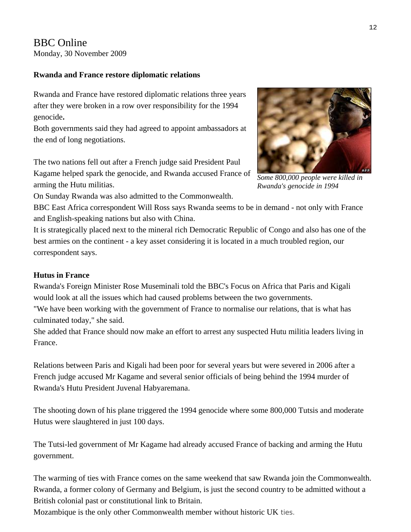# BBC Online Monday, 30 November 2009

# **Rwanda and France restore diplomatic relations**

Rwanda and France have restored diplomatic relations three years after they were broken in a row over responsibility for the 1994 genocide**.**

Both governments said they had agreed to appoint ambassadors at the end of long negotiations.

The two nations fell out after a French judge said President Paul Kagame helped spark the genocide, and Rwanda accused France of arming the Hutu militias.



*Some 800,000 people were killed in Rwanda's genocide in 1994* 

On Sunday Rwanda was also admitted to the Commonwealth.

BBC East Africa correspondent Will Ross says Rwanda seems to be in demand - not only with France and English-speaking nations but also with China.

It is strategically placed next to the mineral rich Democratic Republic of Congo and also has one of the best armies on the continent - a key asset considering it is located in a much troubled region, our correspondent says.

## **Hutus in France**

Rwanda's Foreign Minister Rose Museminali told the BBC's Focus on Africa that Paris and Kigali would look at all the issues which had caused problems between the two governments.

"We have been working with the government of France to normalise our relations, that is what has culminated today," she said.

She added that France should now make an effort to arrest any suspected Hutu militia leaders living in France.

Relations between Paris and Kigali had been poor for several years but were severed in 2006 after a French judge accused Mr Kagame and several senior officials of being behind the 1994 murder of Rwanda's Hutu President Juvenal Habyaremana.

The shooting down of his plane triggered the 1994 genocide where some 800,000 Tutsis and moderate Hutus were slaughtered in just 100 days.

The Tutsi-led government of Mr Kagame had already accused France of backing and arming the Hutu government.

The warming of ties with France comes on the same weekend that saw Rwanda join the Commonwealth. Rwanda, a former colony of Germany and Belgium, is just the second country to be admitted without a British colonial past or constitutional link to Britain.

Mozambique is the only other Commonwealth member without historic UK ties.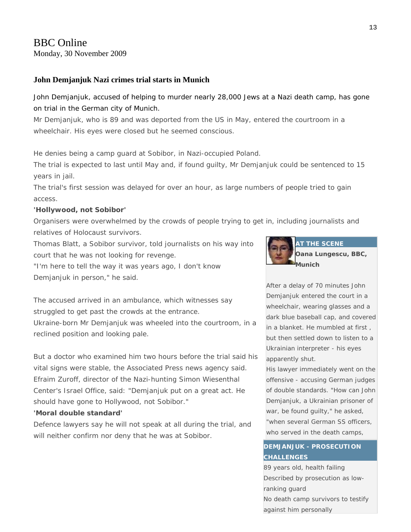# BBC Online

Monday, 30 November 2009

### **John Demjanjuk Nazi crimes trial starts in Munich**

John Demjanjuk, accused of helping to murder nearly 28,000 Jews at a Nazi death camp, has gone on trial in the German city of Munich.

Mr Demjanjuk, who is 89 and was deported from the US in May, entered the courtroom in a wheelchair. His eyes were closed but he seemed conscious.

He denies being a camp guard at Sobibor, in Nazi-occupied Poland.

The trial is expected to last until May and, if found guilty, Mr Demjanjuk could be sentenced to 15 years in jail.

The trial's first session was delayed for over an hour, as large numbers of people tried to gain access.

### **'Hollywood, not Sobibor'**

Organisers were overwhelmed by the crowds of people trying to get in, including journalists and relatives of Holocaust survivors.

Thomas Blatt, a Sobibor survivor, told journalists on his way into court that he was not looking for revenge.

"I'm here to tell the way it was years ago, I don't know Demjanjuk in person," he said.

The accused arrived in an ambulance, which witnesses say struggled to get past the crowds at the entrance. Ukraine-born Mr Demjanjuk was wheeled into the courtroom, in a reclined position and looking pale.

But a doctor who examined him two hours before the trial said his vital signs were stable, the Associated Press news agency said. Efraim Zuroff, director of the Nazi-hunting Simon Wiesenthal Center's Israel Office, said: "Demjanjuk put on a great act. He should have gone to Hollywood, not Sobibor."

### **'Moral double standard'**

Defence lawyers say he will not speak at all during the trial, and will neither confirm nor deny that he was at Sobibor.



After a delay of 70 minutes John Demjanjuk entered the court in a wheelchair, wearing glasses and a dark blue baseball cap, and covered in a blanket. He mumbled at first , but then settled down to listen to a Ukrainian interpreter - his eyes apparently shut.

His lawyer immediately went on the offensive - accusing German judges of double standards. "How can John Demjanjuk, a Ukrainian prisoner of war, be found guilty," he asked, "when several German SS officers, who served in the death camps,

# **DEMJANJUK - PROSECUTION** Facing Thomas Blatt, an 82-year-**CHALLENGES**

89 years old, health failing Described by prosecution as lowranking guard No death camp survivors to testify against him personally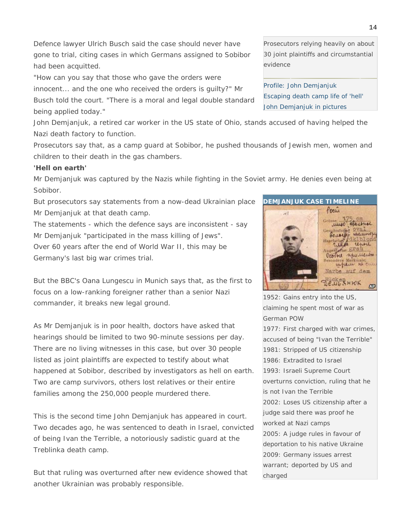Defence lawyer Ulrich Busch said the case should never have gone to trial, citing cases in which Germans assigned to Sobibor had been acquitted.

"How can you say that those who gave the orders were

innocent... and the one who received the orders is guilty?" Mr

Busch told the court. "There is a moral and legal double standard being applied today."

John Demjanjuk, a retired car worker in the US state of Ohio, stands accused of having helped the Nazi death factory to function.

Prosecutors say that, as a camp guard at Sobibor, he pushed thousands of Jewish men, women and children to their death in the gas chambers.

#### **'Hell on earth'**

Mr Demjanjuk was captured by the Nazis while fighting in the Soviet army. He denies even being at Sobibor.

But prosecutors say statements from a now-dead Ukrainian place Mr Demjanjuk at that death camp.

The statements - which the defence says are inconsistent - say Mr Demjanjuk "participated in the mass killing of Jews". Over 60 years after the end of World War II, this may be Germany's last big war crimes trial.

But the BBC's Oana Lungescu in Munich says that, as the first to focus on a low-ranking foreigner rather than a senior Nazi commander, it breaks new legal ground.

As Mr Demjanjuk is in poor health, doctors have asked that hearings should be limited to two 90-minute sessions per day. There are no living witnesses in this case, but over 30 people listed as joint plaintiffs are expected to testify about what happened at Sobibor, described by investigators as hell on earth. Two are camp survivors, others lost relatives or their entire families among the 250,000 people murdered there.

This is the second time John Demjanjuk has appeared in court. Two decades ago, he was sentenced to death in Israel, convicted of being Ivan the Terrible, a notoriously sadistic guard at the Treblinka death camp.

But that ruling was overturned after new evidence showed that another Ukrainian was probably responsible.

Prosecutors relying heavily on about 30 joint plaintiffs and circumstantial evidence

[Profile: John Demjanjuk](http://news.bbc.co.uk/2/hi/americas/7998947.stm)  [Escaping death camp life of 'hell'](http://news.bbc.co.uk/2/hi/europe/8381413.stm)  [John Demjanjuk in pictures](http://news.bbc.co.uk/2/hi/europe/8386146.stm) 

npulleur **INGHL** where is cur Narbe auf dem DeugsHWK  $\Delta P$ 1952: Gains entry into the US,

**DEMJANJUK CASE TIMELINE** 

 $\sim$  1

Pocu

GROUPSLEE

unne

claiming he spent most of war as German POW

1977: First charged with war crimes, accused of being "Ivan the Terrible" 1981: Stripped of US citizenship 1986: Extradited to Israel 1993: Israeli Supreme Court overturns conviction, ruling that he is not Ivan the Terrible 2002: Loses US citizenship after a judge said there was proof he worked at Nazi camps 2005: A judge rules in favour of deportation to his native Ukraine 2009: Germany issues arrest warrant; deported by US and charged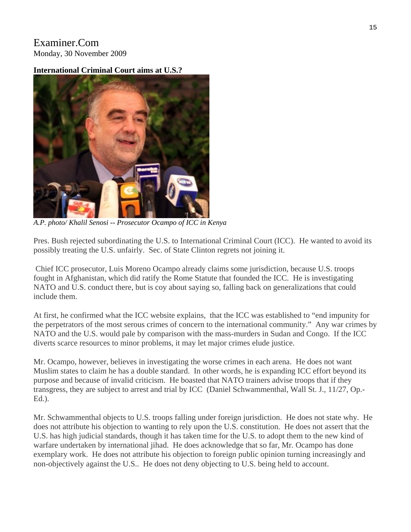# Examiner.Com Monday, 30 November 2009

# **International Criminal Court aims at U.S.?**



*A.P. photo/ Khalil Senosi -- Prosecutor Ocampo of ICC in Kenya* 

Pres. Bush rejected subordinating the U.S. to International Criminal Court (ICC). He wanted to avoid its possibly treating the U.S. unfairly. Sec. of State Clinton regrets not joining it.

 Chief ICC prosecutor, Luis Moreno Ocampo already claims some jurisdiction, because U.S. troops fought in Afghanistan, which did ratify the Rome Statute that founded the ICC. He is investigating NATO and U.S. conduct there, but is coy about saying so, falling back on generalizations that could include them.

At first, he confirmed what the ICC website explains, that the ICC was established to "end impunity for the perpetrators of the most serous crimes of concern to the international community." Any war crimes by NATO and the U.S. would pale by comparison with the mass-murders in Sudan and Congo. If the ICC diverts scarce resources to minor problems, it may let major crimes elude justice.

Mr. Ocampo, however, believes in investigating the worse crimes in each arena. He does not want Muslim states to claim he has a double standard. In other words, he is expanding ICC effort beyond its purpose and because of invalid criticism. He boasted that NATO trainers advise troops that if they transgress, they are subject to arrest and trial by ICC (Daniel Schwammenthal, Wall St. J., 11/27, Op.- Ed.).

Mr. Schwammenthal objects to U.S. troops falling under foreign jurisdiction. He does not state why. He does not attribute his objection to wanting to rely upon the U.S. constitution. He does not assert that the U.S. has high judicial standards, though it has taken time for the U.S. to adopt them to the new kind of warfare undertaken by international jihad. He does acknowledge that so far, Mr. Ocampo has done exemplary work. He does not attribute his objection to foreign public opinion turning increasingly and non-objectively against the U.S.. He does not deny objecting to U.S. being held to account.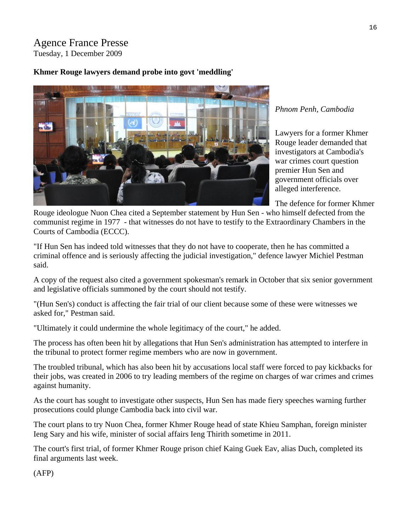# Agence France Presse Tuesday, 1 December 2009

# **Khmer Rouge lawyers demand probe into govt 'meddling'**



### *Phnom Penh, Cambodia*

Lawyers for a former Khmer Rouge leader demanded that investigators at Cambodia's war crimes court question premier Hun Sen and government officials over alleged interference.

The defence for former Khmer

Rouge ideologue Nuon Chea cited a September statement by Hun Sen - who himself defected from the communist regime in 1977 - that witnesses do not have to testify to the Extraordinary Chambers in the Courts of Cambodia (ECCC).

"If Hun Sen has indeed told witnesses that they do not have to cooperate, then he has committed a criminal offence and is seriously affecting the judicial investigation," defence lawyer Michiel Pestman said.

A copy of the request also cited a government spokesman's remark in October that six senior government and legislative officials summoned by the court should not testify.

"(Hun Sen's) conduct is affecting the fair trial of our client because some of these were witnesses we asked for," Pestman said.

"Ultimately it could undermine the whole legitimacy of the court," he added.

The process has often been hit by allegations that Hun Sen's administration has attempted to interfere in the tribunal to protect former regime members who are now in government.

The troubled tribunal, which has also been hit by accusations local staff were forced to pay kickbacks for their jobs, was created in 2006 to try leading members of the regime on charges of war crimes and crimes against humanity.

As the court has sought to investigate other suspects, Hun Sen has made fiery speeches warning further prosecutions could plunge Cambodia back into civil war.

The court plans to try Nuon Chea, former Khmer Rouge head of state Khieu Samphan, foreign minister Ieng Sary and his wife, minister of social affairs Ieng Thirith sometime in 2011.

The court's first trial, of former Khmer Rouge prison chief Kaing Guek Eav, alias Duch, completed its final arguments last week.

(AFP)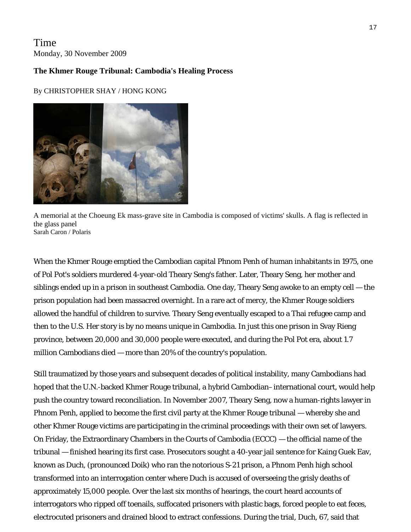# Time Monday, 30 November 2009

### **The Khmer Rouge Tribunal: Cambodia's Healing Process**

### By [CHRISTOPHER SHAY / HONG KONG](javascript:void(0))



A memorial at the Choeung Ek mass-grave site in Cambodia is composed of victims' skulls. A flag is reflected in the glass panel Sarah Caron / Polaris

When the Khmer Rouge emptied the Cambodian capital Phnom Penh of human inhabitants in 1975, one of Pol Pot's soldiers murdered 4-year-old Theary Seng's father. Later, Theary Seng, her mother and siblings ended up in a prison in southeast Cambodia. One day, Theary Seng awoke to an empty cell — the prison population had been massacred overnight. In a rare act of mercy, the Khmer Rouge soldiers allowed the handful of children to survive. Theary Seng eventually escaped to a Thai refugee camp and then to the U.S. Her story is by no means unique in Cambodia. In just this one prison in Svay Rieng province, between 20,000 and 30,000 people were executed, and during the Pol Pot era, about 1.7 million Cambodians died — more than 20% of the country's population.

Still traumatized by those years and subsequent decades of political instability, many Cambodians had hoped that the U.N.-backed Khmer Rouge tribunal, a hybrid Cambodian–international court, would help push the country toward reconciliation. In November 2007, Theary Seng, now a human-rights lawyer in Phnom Penh, applied to become the first civil party at the Khmer Rouge tribunal — whereby she and other Khmer Rouge victims are participating in the criminal proceedings with their own set of lawyers. On Friday, the Extraordinary Chambers in the Courts of Cambodia (ECCC) — the official name of the tribunal — finished hearing its first case. Prosecutors sought a 40-year jail sentence for Kaing Guek Eav, known as Duch, (pronounced Doik) who ran the notorious S-21 prison, a Phnom Penh high school transformed into an interrogation center where Duch is accused of overseeing the grisly deaths of approximately 15,000 people. Over the last six months of hearings, the court heard accounts of interrogators who ripped off toenails, suffocated prisoners with plastic bags, forced people to eat feces, electrocuted prisoners and drained blood to extract confessions. During the trial, Duch, 67, said that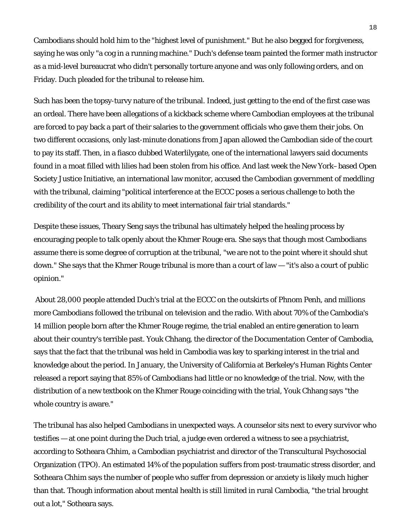Cambodians should hold him to the "highest level of punishment." But he also begged for forgiveness, saying he was only "a cog in a running machine." Duch's defense team painted the former math instructor as a mid-level bureaucrat who didn't personally torture anyone and was only following orders, and on Friday. Duch pleaded for the tribunal to release him.

Such has been the topsy-turvy nature of the tribunal. Indeed, just getting to the end of the first case was an ordeal. There have been allegations of a kickback scheme where Cambodian employees at the tribunal are forced to pay back a part of their salaries to the government officials who gave them their jobs. On two different occasions, only last-minute donations from Japan allowed the Cambodian side of the court to pay its staff. Then, in a fiasco dubbed Waterlilygate, one of the international lawyers said documents found in a moat filled with lilies had been stolen from his office. And last week the New York–based Open Society Justice Initiative, an international law monitor, accused the Cambodian government of meddling with the tribunal, claiming "political interference at the ECCC poses a serious challenge to both the credibility of the court and its ability to meet international fair trial standards."

Despite these issues, Theary Seng says the tribunal has ultimately helped the healing process by encouraging people to talk openly about the Khmer Rouge era. She says that though most Cambodians assume there is some degree of corruption at the tribunal, "we are not to the point where it should shut down." She says that the Khmer Rouge tribunal is more than a court of law — "it's also a court of public opinion."

 About 28,000 people attended Duch's trial at the ECCC on the outskirts of Phnom Penh, and millions more Cambodians followed the tribunal on television and the radio. With about 70% of the Cambodia's 14 million people born after the Khmer Rouge regime, the trial enabled an entire generation to learn about their country's terrible past. Youk Chhang, the director of the Documentation Center of Cambodia, says that the fact that the tribunal was held in Cambodia was key to sparking interest in the trial and knowledge about the period. In January, the University of California at Berkeley's Human Rights Center released a report saying that 85% of Cambodians had little or no knowledge of the trial. Now, with the distribution of a new textbook on the Khmer Rouge coinciding with the trial, Youk Chhang says "the whole country is aware."

The tribunal has also helped Cambodians in unexpected ways. A counselor sits next to every survivor who testifies — at one point during the Duch trial, a judge even ordered a witness to see a psychiatrist, according to Sotheara Chhim, a Cambodian psychiatrist and director of the Transcultural Psychosocial Organization (TPO). An estimated 14% of the population suffers from post-traumatic stress disorder, and Sotheara Chhim says the number of people who suffer from depression or anxiety is likely much higher than that. Though information about mental health is still limited in rural Cambodia, "the trial brought out a lot," Sotheara says.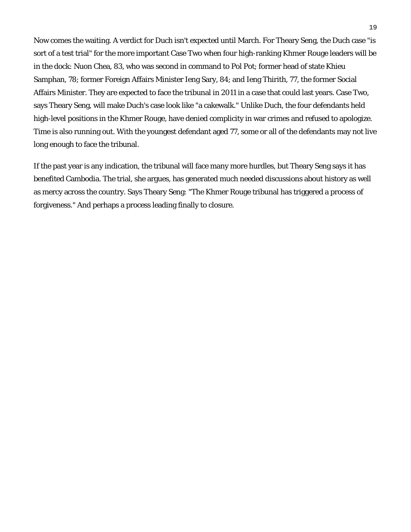Now comes the waiting. A verdict for Duch isn't expected until March. For Theary Seng, the Duch case "is sort of a test trial" for the more important Case Two when four high-ranking Khmer Rouge leaders will be in the dock: Nuon Chea, 83, who was second in command to Pol Pot; former head of state Khieu Samphan, 78; former Foreign Affairs Minister Ieng Sary, 84; and Ieng Thirith, 77, the former Social Affairs Minister. They are expected to face the tribunal in 2011 in a case that could last years. Case Two, says Theary Seng, will make Duch's case look like "a cakewalk." Unlike Duch, the four defendants held high-level positions in the Khmer Rouge, have denied complicity in war crimes and refused to apologize. Time is also running out. With the youngest defendant aged 77, some or all of the defendants may not live long enough to face the tribunal.

If the past year is any indication, the tribunal will face many more hurdles, but Theary Seng says it has benefited Cambodia. The trial, she argues, has generated much needed discussions about history as well as mercy across the country. Says Theary Seng: "The Khmer Rouge tribunal has triggered a process of forgiveness." And perhaps a process leading finally to closure.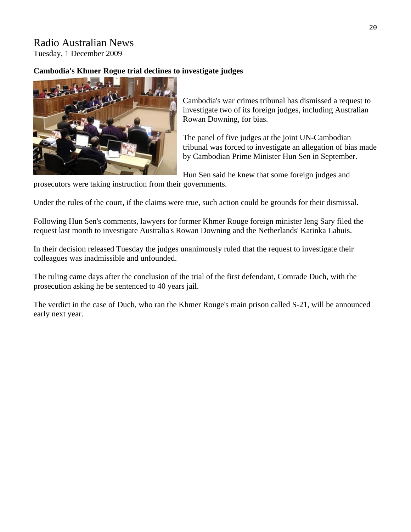# Radio Australian News Tuesday, 1 December 2009

# **Cambodia's Khmer Rogue trial declines to investigate judges**



Cambodia's war crimes tribunal has dismissed a request to investigate two of its foreign judges, including Australian Rowan Downing, for bias.

The panel of five judges at the joint UN-Cambodian tribunal was forced to investigate an allegation of bias m ade by Cambodian Prime Minister Hun Sen in Septem ber.

H un Sen said he knew that some foreign judges and

prosecutors were taking instruction from their governments.

U nder the rules of the court, if the claims were true, such action could be grounds for their dismissal.

F ollowing Hun Sen's comments, lawyers for former Khmer Rouge foreign minister Ieng Sary filed the request last month to investigate Australia's Rowan Downing and the Netherlands' Katinka Lahuis.

In their decision released Tuesday the judges unanimously ruled that the request to investigate their colleagues was inadmissible and unfounded.

T he ruling came days after the conclusion of the trial of the first defendant, Comrade Duch, with the prosecution asking he be sentenced to 40 years jail.

T he verdict in the case of Duch, who ran the Khmer Rouge's main prison called S-21, will be announced early next year.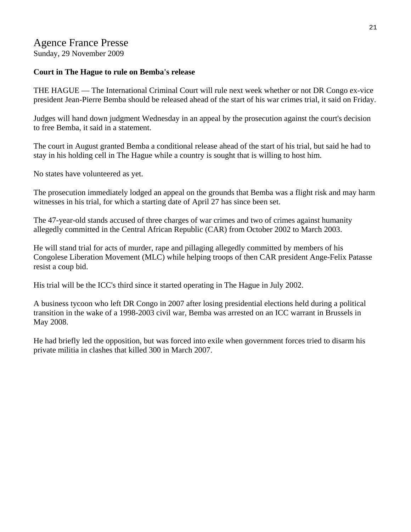# Agence France Presse Sunday, 29 November 2009

## **Court in The Hague to rule on Bemba's release**

THE HAGUE — The International Criminal Court will rule next week whether or not DR Congo ex-vice president Jean-Pierre Bemba should be released ahead of the start of his war crimes trial, it said on Friday.

Judges will hand down judgment Wednesday in an appeal by the prosecution against the court's decision to free Bemba, it said in a statement.

The court in August granted Bemba a conditional release ahead of the start of his trial, but said he had to stay in his holding cell in The Hague while a country is sought that is willing to host him.

No states have volunteered as yet.

The prosecution immediately lodged an appeal on the grounds that Bemba was a flight risk and may harm witnesses in his trial, for which a starting date of April 27 has since been set.

The 47-year-old stands accused of three charges of war crimes and two of crimes against humanity allegedly committed in the Central African Republic (CAR) from October 2002 to March 2003.

He will stand trial for acts of murder, rape and pillaging allegedly committed by members of his Congolese Liberation Movement (MLC) while helping troops of then CAR president Ange-Felix Patasse resist a coup bid.

His trial will be the ICC's third since it started operating in The Hague in July 2002.

A business tycoon who left DR Congo in 2007 after losing presidential elections held during a political transition in the wake of a 1998-2003 civil war, Bemba was arrested on an ICC warrant in Brussels in May 2008.

He had briefly led the opposition, but was forced into exile when government forces tried to disarm his private militia in clashes that killed 300 in March 2007.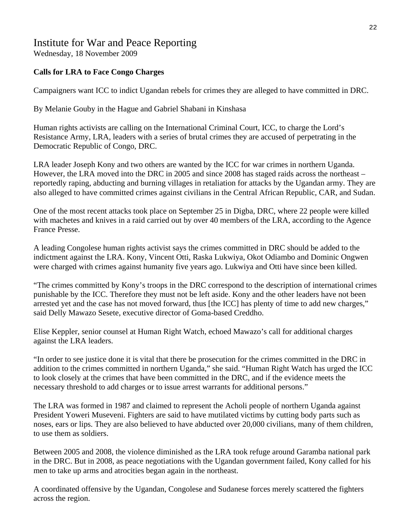## Institute for War and Peace Reporting Wednesday, 18 November 2009

### **Calls for LRA to Face Congo Charges**

Campaigners want ICC to indict Ugandan rebels for crimes they are alleged to have committed in DRC.

By Melanie Gouby in the Hague and Gabriel Shabani in Kinshasa

Human rights activists are calling on the International Criminal Court, ICC, to charge the Lord's Resistance Army, LRA, leaders with a series of brutal crimes they are accused of perpetrating in the Democratic Republic of Congo, DRC.

LRA leader Joseph Kony and two others are wanted by the ICC for war crimes in northern Uganda. However, the LRA moved into the DRC in 2005 and since 2008 has staged raids across the northeast – reportedly raping, abducting and burning villages in retaliation for attacks by the Ugandan army. They are also alleged to have committed crimes against civilians in the Central African Republic, CAR, and Sudan.

One of the most recent attacks took place on September 25 in Digba, DRC, where 22 people were killed with machetes and knives in a raid carried out by over 40 members of the LRA, according to the Agence France Presse.

A leading Congolese human rights activist says the crimes committed in DRC should be added to the indictment against the LRA. Kony, Vincent Otti, Raska Lukwiya, Okot Odiambo and Dominic Ongwen were charged with crimes against humanity five years ago. Lukwiya and Otti have since been killed.

"The crimes committed by Kony's troops in the DRC correspond to the description of international crimes punishable by the ICC. Therefore they must not be left aside. Kony and the other leaders have not been arrested yet and the case has not moved forward, thus [the ICC] has plenty of time to add new charges," said Delly Mawazo Sesete, executive director of Goma-based Creddho.

Elise Keppler, senior counsel at Human Right Watch, echoed Mawazo's call for additional charges against the LRA leaders.

"In order to see justice done it is vital that there be prosecution for the crimes committed in the DRC in addition to the crimes committed in northern Uganda," she said. "Human Right Watch has urged the ICC to look closely at the crimes that have been committed in the DRC, and if the evidence meets the necessary threshold to add charges or to issue arrest warrants for additional persons."

The LRA was formed in 1987 and claimed to represent the Acholi people of northern Uganda against President Yoweri Museveni. Fighters are said to have mutilated victims by cutting body parts such as noses, ears or lips. They are also believed to have abducted over 20,000 civilians, many of them children, to use them as soldiers.

Between 2005 and 2008, the violence diminished as the LRA took refuge around Garamba national park in the DRC. But in 2008, as peace negotiations with the Ugandan government failed, Kony called for his men to take up arms and atrocities began again in the northeast.

A coordinated offensive by the Ugandan, Congolese and Sudanese forces merely scattered the fighters across the region.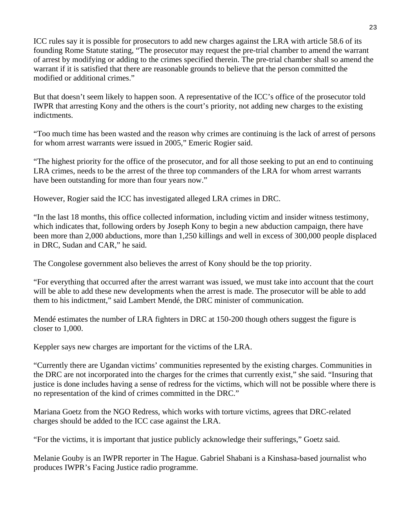ICC rules say it is possible for prosecutors to add new charges against the LRA with article 58.6 of its founding Rome Statute stating, "The prosecutor may request the pre-trial chamber to amend the warrant of arrest by modifying or adding to the crimes specified therein. The pre-trial chamber shall so amend the warrant if it is satisfied that there are reasonable grounds to believe that the person committed the modified or additional crimes."

But that doesn't seem likely to happen soon. A representative of the ICC's office of the prosecutor told IWPR that arresting Kony and the others is the court's priority, not adding new charges to the existing indictments.

"Too much time has been wasted and the reason why crimes are continuing is the lack of arrest of persons for whom arrest warrants were issued in 2005," Emeric Rogier said.

"The highest priority for the office of the prosecutor, and for all those seeking to put an end to continuing LRA crimes, needs to be the arrest of the three top commanders of the LRA for whom arrest warrants have been outstanding for more than four years now."

However, Rogier said the ICC has investigated alleged LRA crimes in DRC.

"In the last 18 months, this office collected information, including victim and insider witness testimony, which indicates that, following orders by Joseph Kony to begin a new abduction campaign, there have been more than 2,000 abductions, more than 1,250 killings and well in excess of 300,000 people displaced in DRC, Sudan and CAR," he said.

The Congolese government also believes the arrest of Kony should be the top priority.

"For everything that occurred after the arrest warrant was issued, we must take into account that the court will be able to add these new developments when the arrest is made. The prosecutor will be able to add them to his indictment," said Lambert Mendé, the DRC minister of communication.

Mendé estimates the number of LRA fighters in DRC at 150-200 though others suggest the figure is closer to 1,000.

Keppler says new charges are important for the victims of the LRA.

"Currently there are Ugandan victims' communities represented by the existing charges. Communities in the DRC are not incorporated into the charges for the crimes that currently exist," she said. "Insuring that justice is done includes having a sense of redress for the victims, which will not be possible where there is no representation of the kind of crimes committed in the DRC."

Mariana Goetz from the NGO Redress, which works with torture victims, agrees that DRC-related charges should be added to the ICC case against the LRA.

"For the victims, it is important that justice publicly acknowledge their sufferings," Goetz said.

Melanie Gouby is an IWPR reporter in The Hague. Gabriel Shabani is a Kinshasa-based journalist who produces IWPR's Facing Justice radio programme.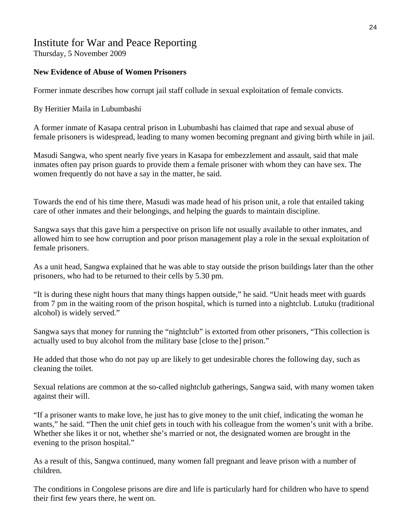# Institute for War and Peace Reporting

Thursday, 5 November 2009

## **New Evidence of Abuse of Women Prisoners**

Former inmate describes how corrupt jail staff collude in sexual exploitation of female convicts.

By Heritier Maila in Lubumbashi

A former inmate of Kasapa central prison in Lubumbashi has claimed that rape and sexual abuse of female prisoners is widespread, leading to many women becoming pregnant and giving birth while in jail.

Masudi Sangwa, who spent nearly five years in Kasapa for embezzlement and assault, said that male inmates often pay prison guards to provide them a female prisoner with whom they can have sex. The women frequently do not have a say in the matter, he said.

Towards the end of his time there, Masudi was made head of his prison unit, a role that entailed taking care of other inmates and their belongings, and helping the guards to maintain discipline.

Sangwa says that this gave him a perspective on prison life not usually available to other inmates, and allowed him to see how corruption and poor prison management play a role in the sexual exploitation of female prisoners.

As a unit head, Sangwa explained that he was able to stay outside the prison buildings later than the other prisoners, who had to be returned to their cells by 5.30 pm.

"It is during these night hours that many things happen outside," he said. "Unit heads meet with guards from 7 pm in the waiting room of the prison hospital, which is turned into a nightclub. Lutuku (traditional alcohol) is widely served."

Sangwa says that money for running the "nightclub" is extorted from other prisoners, "This collection is actually used to buy alcohol from the military base [close to the] prison."

He added that those who do not pay up are likely to get undesirable chores the following day, such as cleaning the toilet.

Sexual relations are common at the so-called nightclub gatherings, Sangwa said, with many women taken against their will.

"If a prisoner wants to make love, he just has to give money to the unit chief, indicating the woman he wants," he said. "Then the unit chief gets in touch with his colleague from the women's unit with a bribe. Whether she likes it or not, whether she's married or not, the designated women are brought in the evening to the prison hospital."

As a result of this, Sangwa continued, many women fall pregnant and leave prison with a number of children.

The conditions in Congolese prisons are dire and life is particularly hard for children who have to spend their first few years there, he went on.